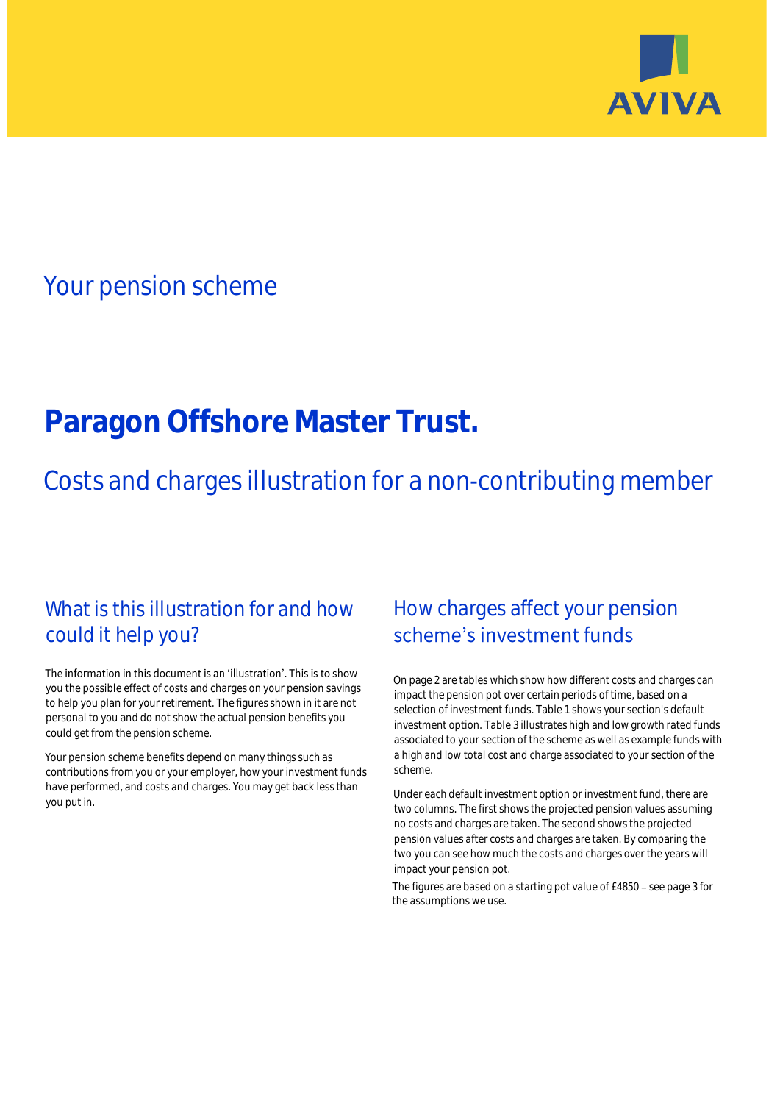

# Your pension scheme

# **Paragon Offshore Master Trust.**

Costs and charges illustration for a non-contributing member

### What is this illustration for and how could it help you?

#### The information in this document is an 'illustration'. This is to show you the possible effect of costs and charges on your pension savings to help you plan for your retirement. The figures shown in it are not personal to you and do not show the actual pension benefits you could get from the pension scheme.

Your pension scheme benefits depend on many things such as contributions from you or your employer, how your investment funds have performed, and costs and charges. You may get back less than you put in.

## How charges affect your pension scheme's investment funds

On page 2 are tables which show how different costs and charges can impact the pension pot over certain periods of time, based on a selection of investment funds. Table 1 shows your section's default investment option. Table 3 illustrates high and low growth rated funds associated to your section of the scheme as well as example funds with a high and low total cost and charge associated to your section of the scheme.

Under each default investment option or investment fund, there are two columns. The first shows the projected pension values assuming no costs and charges are taken. The second shows the projected pension values after costs and charges are taken. By comparing the two you can see how much the costs and charges over the years will impact your pension pot.

The figures are based on a starting pot value of £4850 - see page 3 for the assumptions we use.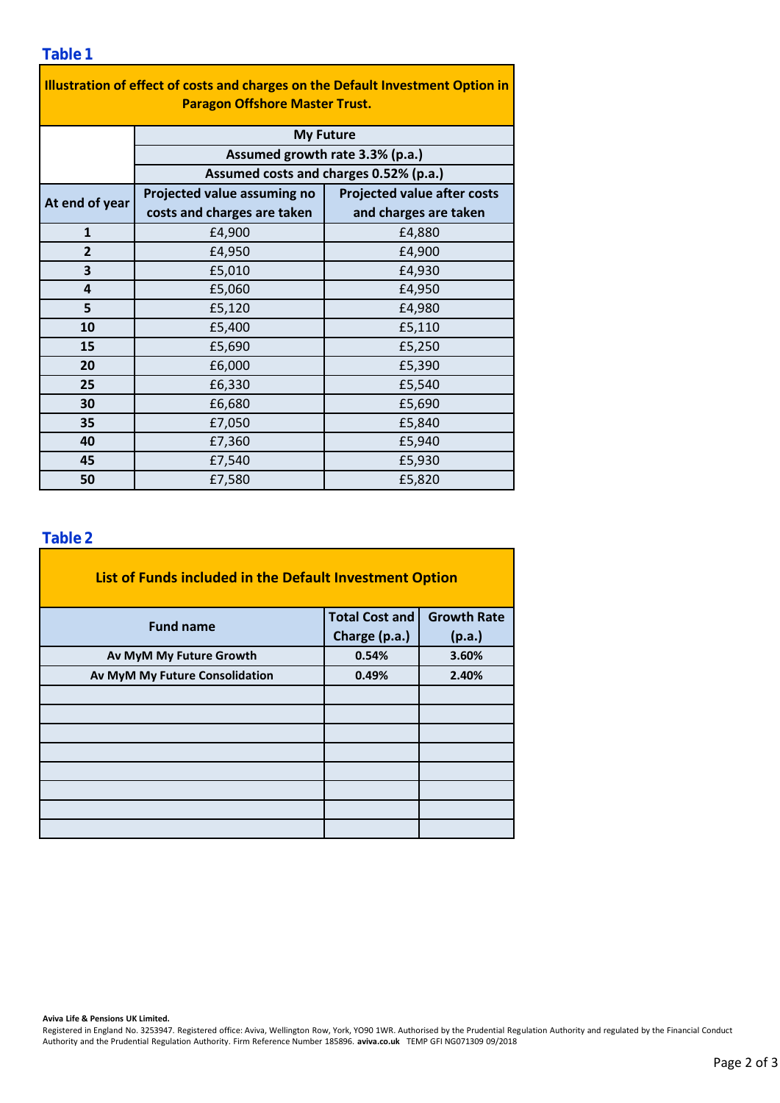### **Table 1**

| Illustration of effect of costs and charges on the Default Investment Option in<br><b>Paragon Offshore Master Trust.</b> |                                        |                                    |  |  |  |  |  |  |
|--------------------------------------------------------------------------------------------------------------------------|----------------------------------------|------------------------------------|--|--|--|--|--|--|
|                                                                                                                          | <b>My Future</b>                       |                                    |  |  |  |  |  |  |
|                                                                                                                          | Assumed growth rate 3.3% (p.a.)        |                                    |  |  |  |  |  |  |
|                                                                                                                          | Assumed costs and charges 0.52% (p.a.) |                                    |  |  |  |  |  |  |
| At end of year                                                                                                           | Projected value assuming no            | <b>Projected value after costs</b> |  |  |  |  |  |  |
|                                                                                                                          | costs and charges are taken            | and charges are taken              |  |  |  |  |  |  |
| $\mathbf{1}$                                                                                                             | £4,900                                 | £4,880                             |  |  |  |  |  |  |
| $\overline{2}$                                                                                                           | £4,950                                 | £4,900                             |  |  |  |  |  |  |
| 3                                                                                                                        | £5,010                                 | £4,930                             |  |  |  |  |  |  |
| 4                                                                                                                        | £5,060                                 | £4,950                             |  |  |  |  |  |  |
| 5                                                                                                                        | £5,120                                 | £4,980                             |  |  |  |  |  |  |
| 10                                                                                                                       | £5,400                                 | £5,110                             |  |  |  |  |  |  |
| 15                                                                                                                       | £5,690                                 | £5,250                             |  |  |  |  |  |  |
| 20                                                                                                                       | £6,000                                 | £5,390                             |  |  |  |  |  |  |
| 25                                                                                                                       | £6,330                                 | £5,540                             |  |  |  |  |  |  |
| 30                                                                                                                       | £6,680                                 | £5,690                             |  |  |  |  |  |  |
| 35                                                                                                                       | £7,050                                 | £5,840                             |  |  |  |  |  |  |
| 40                                                                                                                       | £7,360                                 | £5,940                             |  |  |  |  |  |  |
| 45                                                                                                                       | £7,540                                 | £5,930                             |  |  |  |  |  |  |
| 50                                                                                                                       | £7,580                                 | £5,820                             |  |  |  |  |  |  |

### **Table 2**

| List of Funds included in the Default Investment Option |                       |                    |  |  |  |  |  |  |
|---------------------------------------------------------|-----------------------|--------------------|--|--|--|--|--|--|
| <b>Fund name</b>                                        | <b>Total Cost and</b> | <b>Growth Rate</b> |  |  |  |  |  |  |
|                                                         | Charge (p.a.)         | (p.a.)             |  |  |  |  |  |  |
| Av MyM My Future Growth                                 | 0.54%                 | 3.60%              |  |  |  |  |  |  |
| Av MyM My Future Consolidation                          | 0.49%                 | 2.40%              |  |  |  |  |  |  |
|                                                         |                       |                    |  |  |  |  |  |  |
|                                                         |                       |                    |  |  |  |  |  |  |
|                                                         |                       |                    |  |  |  |  |  |  |
|                                                         |                       |                    |  |  |  |  |  |  |
|                                                         |                       |                    |  |  |  |  |  |  |
|                                                         |                       |                    |  |  |  |  |  |  |
|                                                         |                       |                    |  |  |  |  |  |  |
|                                                         |                       |                    |  |  |  |  |  |  |

**Aviva Life & Pensions UK Limited.**

Registered in England No. 3253947. Registered office: Aviva, Wellington Row, York, YO90 1WR. Authorised by the Prudential Regulation Authority and regulated by the Financial Conduct Authority and the Prudential Regulation Authority. Firm Reference Number 185896. **aviva.co.uk** TEMP GFI NG071309 09/2018